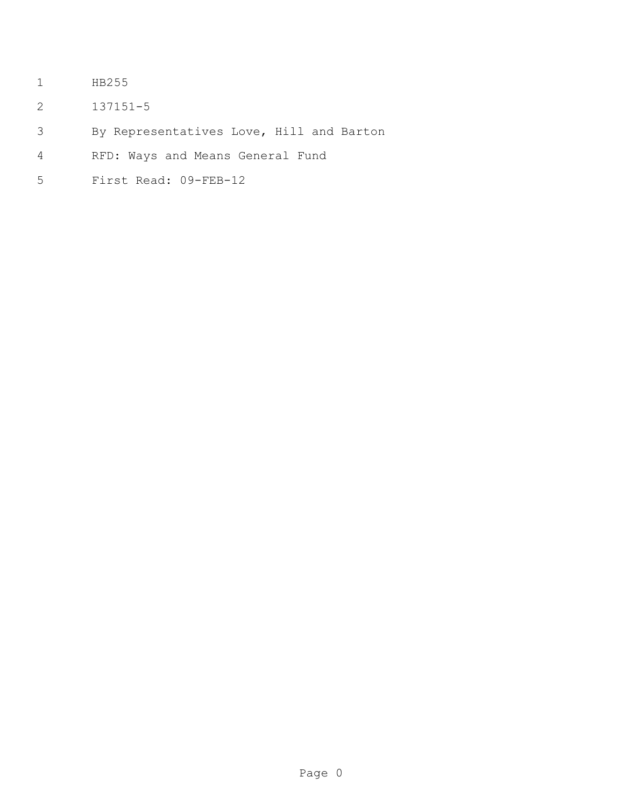- HB255
- 137151-5
- By Representatives Love, Hill and Barton
- RFD: Ways and Means General Fund
- First Read: 09-FEB-12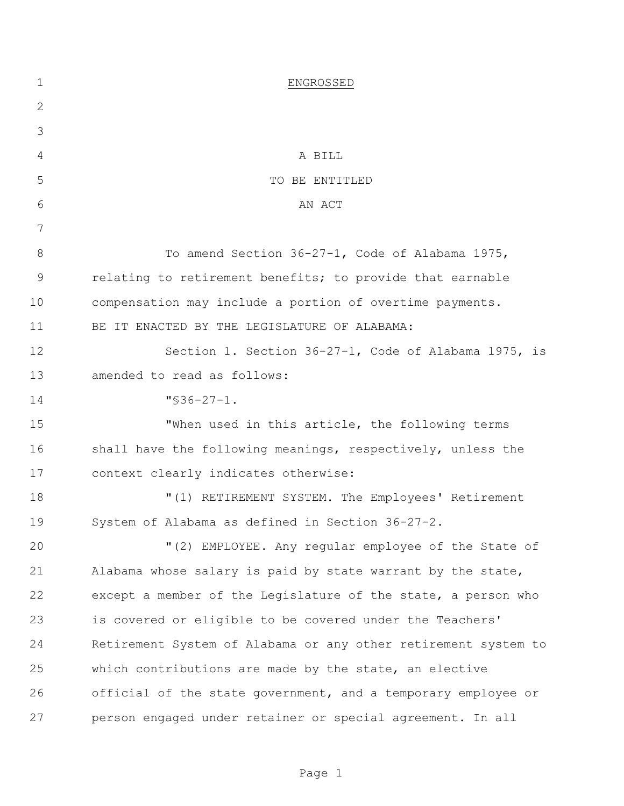| $\mathbf 1$ | ENGROSSED                                                      |
|-------------|----------------------------------------------------------------|
| 2           |                                                                |
| 3           |                                                                |
| 4           | A BILL                                                         |
| 5           | TO BE ENTITLED                                                 |
| 6           | AN ACT                                                         |
| 7           |                                                                |
| $8\,$       | To amend Section 36-27-1, Code of Alabama 1975,                |
| 9           | relating to retirement benefits; to provide that earnable      |
| 10          | compensation may include a portion of overtime payments.       |
| 11          | BE IT ENACTED BY THE LEGISLATURE OF ALABAMA:                   |
| 12          | Section 1. Section 36-27-1, Code of Alabama 1975, is           |
| 13          | amended to read as follows:                                    |
| 14          | $"$ \$36-27-1.                                                 |
| 15          | "When used in this article, the following terms                |
| 16          | shall have the following meanings, respectively, unless the    |
| 17          | context clearly indicates otherwise:                           |
| 18          | "(1) RETIREMENT SYSTEM. The Employees' Retirement              |
| 19          | System of Alabama as defined in Section 36-27-2.               |
| 20          | "(2) EMPLOYEE. Any regular employee of the State of            |
| 21          | Alabama whose salary is paid by state warrant by the state,    |
| 22          | except a member of the Legislature of the state, a person who  |
| 23          | is covered or eligible to be covered under the Teachers'       |
| 24          | Retirement System of Alabama or any other retirement system to |
| 25          | which contributions are made by the state, an elective         |
| 26          | official of the state government, and a temporary employee or  |
| 27          | person engaged under retainer or special agreement. In all     |

Page 1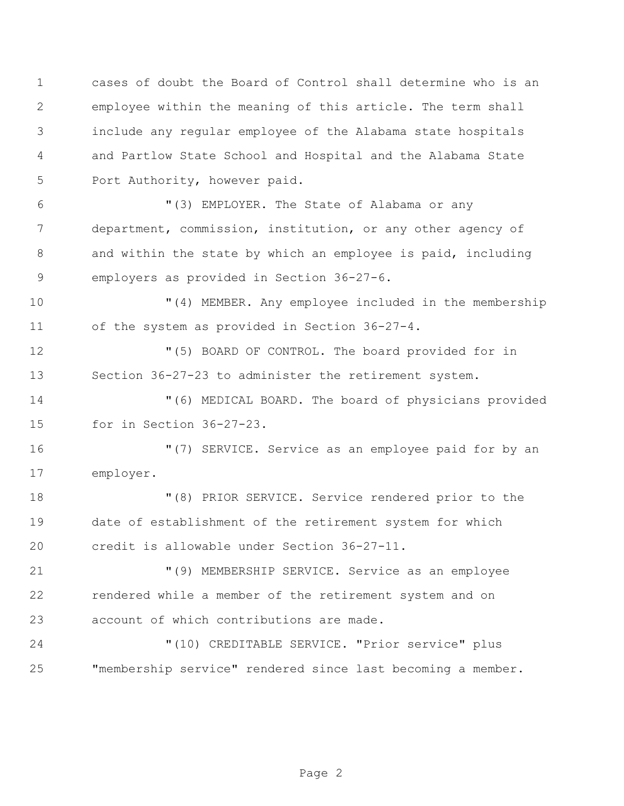cases of doubt the Board of Control shall determine who is an employee within the meaning of this article. The term shall include any regular employee of the Alabama state hospitals and Partlow State School and Hospital and the Alabama State Port Authority, however paid. "(3) EMPLOYER. The State of Alabama or any department, commission, institution, or any other agency of and within the state by which an employee is paid, including employers as provided in Section 36-27-6. "(4) MEMBER. Any employee included in the membership of the system as provided in Section 36-27-4. "(5) BOARD OF CONTROL. The board provided for in Section 36-27-23 to administer the retirement system. "(6) MEDICAL BOARD. The board of physicians provided for in Section 36-27-23. "(7) SERVICE. Service as an employee paid for by an employer. "(8) PRIOR SERVICE. Service rendered prior to the date of establishment of the retirement system for which credit is allowable under Section 36-27-11. "(9) MEMBERSHIP SERVICE. Service as an employee rendered while a member of the retirement system and on account of which contributions are made.

 "(10) CREDITABLE SERVICE. "Prior service" plus "membership service" rendered since last becoming a member.

Page 2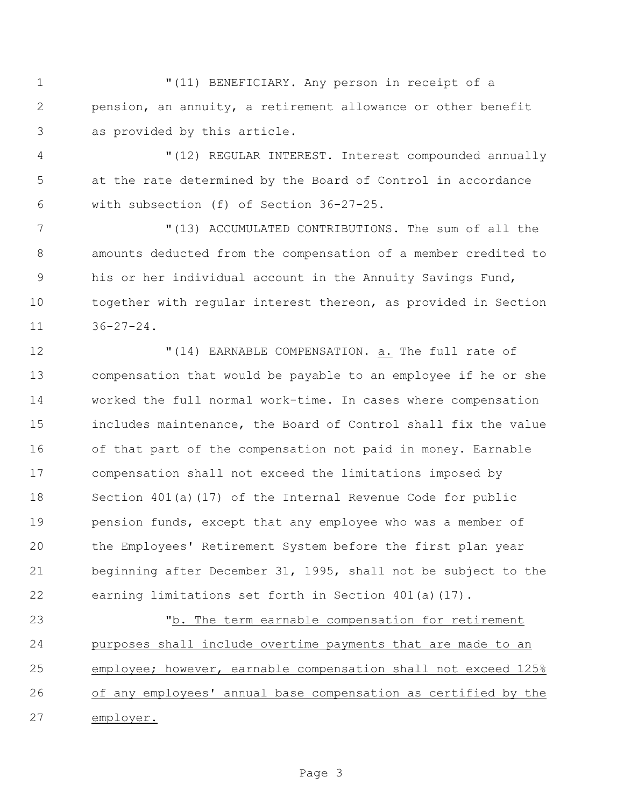"(11) BENEFICIARY. Any person in receipt of a pension, an annuity, a retirement allowance or other benefit as provided by this article.

 "(12) REGULAR INTEREST. Interest compounded annually at the rate determined by the Board of Control in accordance with subsection (f) of Section 36-27-25.

 "(13) ACCUMULATED CONTRIBUTIONS. The sum of all the amounts deducted from the compensation of a member credited to his or her individual account in the Annuity Savings Fund, together with regular interest thereon, as provided in Section  $36 - 27 - 24$ .

 "(14) EARNABLE COMPENSATION. a. The full rate of compensation that would be payable to an employee if he or she worked the full normal work-time. In cases where compensation includes maintenance, the Board of Control shall fix the value of that part of the compensation not paid in money. Earnable compensation shall not exceed the limitations imposed by Section 401(a)(17) of the Internal Revenue Code for public pension funds, except that any employee who was a member of the Employees' Retirement System before the first plan year beginning after December 31, 1995, shall not be subject to the earning limitations set forth in Section 401(a)(17).

 "b. The term earnable compensation for retirement purposes shall include overtime payments that are made to an employee; however, earnable compensation shall not exceed 125% of any employees' annual base compensation as certified by the employer.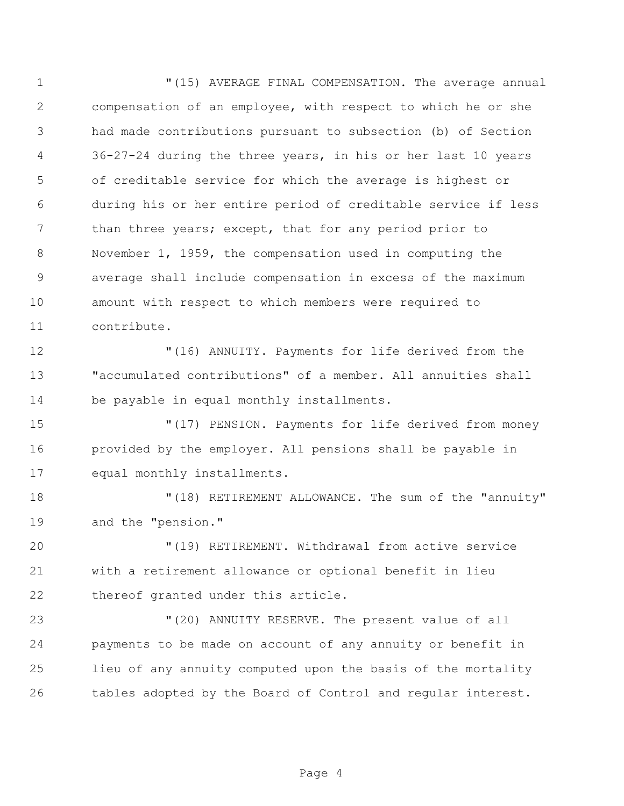$(15)$  AVERAGE FINAL COMPENSATION. The average annual compensation of an employee, with respect to which he or she had made contributions pursuant to subsection (b) of Section 36-27-24 during the three years, in his or her last 10 years of creditable service for which the average is highest or during his or her entire period of creditable service if less 7 than three years; except, that for any period prior to November 1, 1959, the compensation used in computing the average shall include compensation in excess of the maximum amount with respect to which members were required to contribute.

 "(16) ANNUITY. Payments for life derived from the "accumulated contributions" of a member. All annuities shall be payable in equal monthly installments.

 "(17) PENSION. Payments for life derived from money provided by the employer. All pensions shall be payable in equal monthly installments.

18  $(18)$  RETIREMENT ALLOWANCE. The sum of the "annuity" and the "pension."

 "(19) RETIREMENT. Withdrawal from active service with a retirement allowance or optional benefit in lieu thereof granted under this article.

 "(20) ANNUITY RESERVE. The present value of all payments to be made on account of any annuity or benefit in lieu of any annuity computed upon the basis of the mortality tables adopted by the Board of Control and regular interest.

Page 4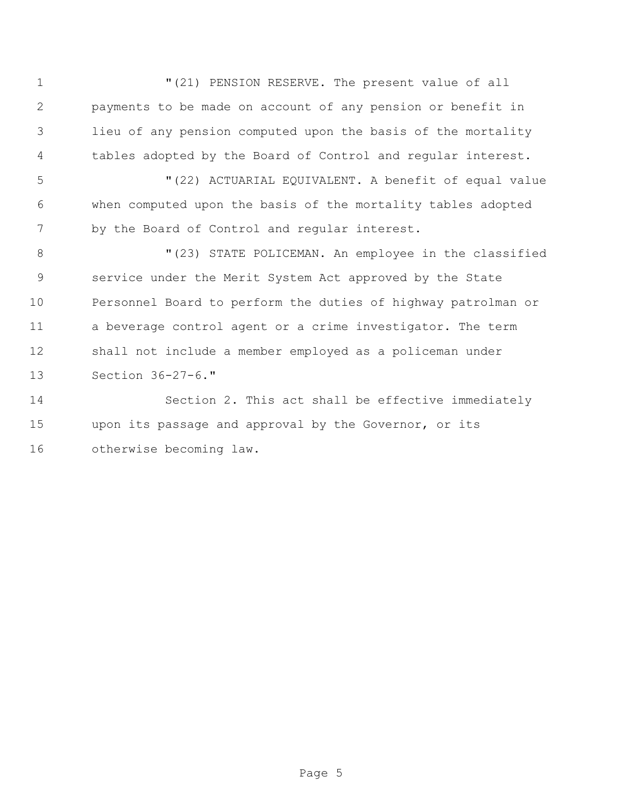$(21)$  PENSION RESERVE. The present value of all payments to be made on account of any pension or benefit in lieu of any pension computed upon the basis of the mortality tables adopted by the Board of Control and regular interest.

 "(22) ACTUARIAL EQUIVALENT. A benefit of equal value when computed upon the basis of the mortality tables adopted 7 by the Board of Control and regular interest.

8 "(23) STATE POLICEMAN. An employee in the classified service under the Merit System Act approved by the State Personnel Board to perform the duties of highway patrolman or a beverage control agent or a crime investigator. The term shall not include a member employed as a policeman under Section 36-27-6."

 Section 2. This act shall be effective immediately upon its passage and approval by the Governor, or its otherwise becoming law.